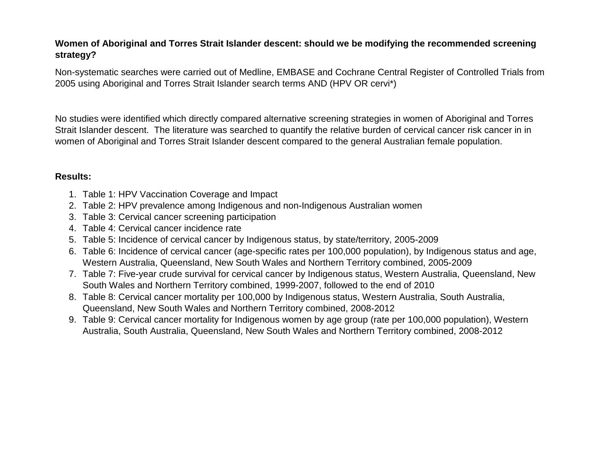### **Women of Aboriginal and Torres Strait Islander descent: should we be modifying the recommended screening strategy?**

Non-systematic searches were carried out of Medline, EMBASE and Cochrane Central Register of Controlled Trials from 2005 using Aboriginal and Torres Strait Islander search terms AND (HPV OR cervi\*)

No studies were identified which directly compared alternative screening strategies in women of Aboriginal and Torres Strait Islander descent. The literature was searched to quantify the relative burden of cervical cancer risk cancer in in women of Aboriginal and Torres Strait Islander descent compared to the general Australian female population.

### **Results:**

- 1. Table 1: HPV Vaccination Coverage and Impact
- 2. Table 2: HPV prevalence among Indigenous and non-Indigenous Australian women
- 3. Table 3: Cervical cancer screening participation
- 4. Table 4: Cervical cancer incidence rate
- 5. Table 5: Incidence of cervical cancer by Indigenous status, by state/territory, 2005-2009
- 6. Table 6: Incidence of cervical cancer (age-specific rates per 100,000 population), by Indigenous status and age, Western Australia, Queensland, New South Wales and Northern Territory combined, 2005-2009
- 7. Table 7: Five-year crude survival for cervical cancer by Indigenous status, Western Australia, Queensland, New South Wales and Northern Territory combined, 1999-2007, followed to the end of 2010
- 8. Table 8: Cervical cancer mortality per 100,000 by Indigenous status, Western Australia, South Australia, Queensland, New South Wales and Northern Territory combined, 2008-2012
- 9. Table 9: Cervical cancer mortality for Indigenous women by age group (rate per 100,000 population), Western Australia, South Australia, Queensland, New South Wales and Northern Territory combined, 2008-2012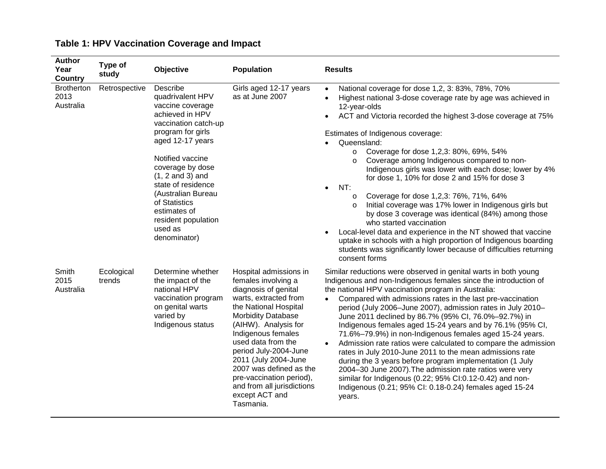| <b>Author</b><br>Year<br><b>Country</b> | Type of<br>study     | Objective                                                                                                                                                                                                                                                                                                                         | <b>Population</b>                                                                                                                                                                                                                                                                                                                                                                             | <b>Results</b>                                                                                                                                                                                                                                                                                                                                                                                                                                                                                                                                                                                                                                                                                                                                                                                                                                                                                                                                                                  |
|-----------------------------------------|----------------------|-----------------------------------------------------------------------------------------------------------------------------------------------------------------------------------------------------------------------------------------------------------------------------------------------------------------------------------|-----------------------------------------------------------------------------------------------------------------------------------------------------------------------------------------------------------------------------------------------------------------------------------------------------------------------------------------------------------------------------------------------|---------------------------------------------------------------------------------------------------------------------------------------------------------------------------------------------------------------------------------------------------------------------------------------------------------------------------------------------------------------------------------------------------------------------------------------------------------------------------------------------------------------------------------------------------------------------------------------------------------------------------------------------------------------------------------------------------------------------------------------------------------------------------------------------------------------------------------------------------------------------------------------------------------------------------------------------------------------------------------|
| <b>Brotherton</b><br>2013<br>Australia  | Retrospective        | Describe<br>quadrivalent HPV<br>vaccine coverage<br>achieved in HPV<br>vaccination catch-up<br>program for girls<br>aged 12-17 years<br>Notified vaccine<br>coverage by dose<br>$(1, 2$ and 3) and<br>state of residence<br>(Australian Bureau<br>of Statistics<br>estimates of<br>resident population<br>used as<br>denominator) | Girls aged 12-17 years<br>as at June 2007                                                                                                                                                                                                                                                                                                                                                     | National coverage for dose 1,2, 3: 83%, 78%, 70%<br>$\bullet$<br>Highest national 3-dose coverage rate by age was achieved in<br>$\bullet$<br>12-year-olds<br>ACT and Victoria recorded the highest 3-dose coverage at 75%<br>Estimates of Indigenous coverage:<br>Queensland:<br>Coverage for dose 1,2,3: 80%, 69%, 54%<br>$\circ$<br>Coverage among Indigenous compared to non-<br>$\circ$<br>Indigenous girls was lower with each dose; lower by 4%<br>for dose 1, 10% for dose 2 and 15% for dose 3<br>NT:<br>$\bullet$<br>Coverage for dose 1,2,3: 76%, 71%, 64%<br>$\circ$<br>Initial coverage was 17% lower in Indigenous girls but<br>$\Omega$<br>by dose 3 coverage was identical (84%) among those<br>who started vaccination<br>Local-level data and experience in the NT showed that vaccine<br>$\bullet$<br>uptake in schools with a high proportion of Indigenous boarding<br>students was significantly lower because of difficulties returning<br>consent forms |
| Smith<br>2015<br>Australia              | Ecological<br>trends | Determine whether<br>the impact of the<br>national HPV<br>vaccination program<br>on genital warts<br>varied by<br>Indigenous status                                                                                                                                                                                               | Hospital admissions in<br>females involving a<br>diagnosis of genital<br>warts, extracted from<br>the National Hospital<br><b>Morbidity Database</b><br>(AIHW). Analysis for<br>Indigenous females<br>used data from the<br>period July-2004-June<br>2011 (July 2004-June<br>2007 was defined as the<br>pre-vaccination period),<br>and from all jurisdictions<br>except ACT and<br>Tasmania. | Similar reductions were observed in genital warts in both young<br>Indigenous and non-Indigenous females since the introduction of<br>the national HPV vaccination program in Australia:<br>Compared with admissions rates in the last pre-vaccination<br>$\bullet$<br>period (July 2006-June 2007), admission rates in July 2010-<br>June 2011 declined by 86.7% (95% CI, 76.0%-92.7%) in<br>Indigenous females aged 15-24 years and by 76.1% (95% CI,<br>71.6%-79.9%) in non-Indigenous females aged 15-24 years.<br>Admission rate ratios were calculated to compare the admission<br>$\bullet$<br>rates in July 2010-June 2011 to the mean admissions rate<br>during the 3 years before program implementation (1 July<br>2004-30 June 2007). The admission rate ratios were very<br>similar for Indigenous (0.22; 95% CI:0.12-0.42) and non-<br>Indigenous (0.21; 95% CI: 0.18-0.24) females aged 15-24<br>years.                                                          |

# **Table 1: HPV Vaccination Coverage and Impact**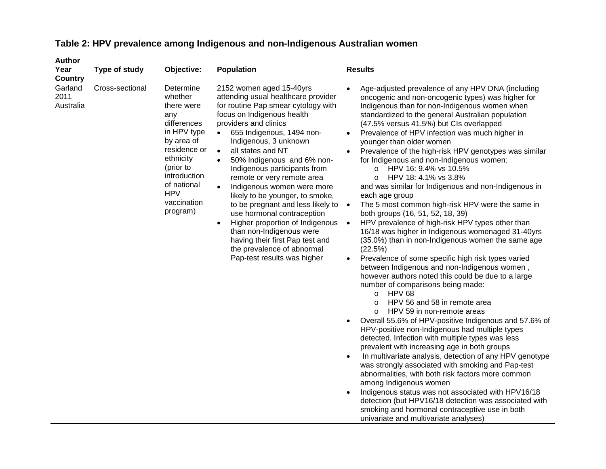| Author<br>Year<br><b>Country</b> | Type of study   | Objective:                                                                                                                                                                                              | <b>Population</b>                                                                                                                                                                                                                                                                                                                                                                                                                                                                                                                                                                                                                                                                             | <b>Results</b>                                                                                                                                                                                                                                                                                                                                                                                                                                                                                                                                                                                                                                                                                                                                                                                                                                                                                                                                                                                                                                                                                                                                                                                                                                                                                                                                                                                                                                                                                                                                                                                                                                                                                                                                                                                                                                                |
|----------------------------------|-----------------|---------------------------------------------------------------------------------------------------------------------------------------------------------------------------------------------------------|-----------------------------------------------------------------------------------------------------------------------------------------------------------------------------------------------------------------------------------------------------------------------------------------------------------------------------------------------------------------------------------------------------------------------------------------------------------------------------------------------------------------------------------------------------------------------------------------------------------------------------------------------------------------------------------------------|---------------------------------------------------------------------------------------------------------------------------------------------------------------------------------------------------------------------------------------------------------------------------------------------------------------------------------------------------------------------------------------------------------------------------------------------------------------------------------------------------------------------------------------------------------------------------------------------------------------------------------------------------------------------------------------------------------------------------------------------------------------------------------------------------------------------------------------------------------------------------------------------------------------------------------------------------------------------------------------------------------------------------------------------------------------------------------------------------------------------------------------------------------------------------------------------------------------------------------------------------------------------------------------------------------------------------------------------------------------------------------------------------------------------------------------------------------------------------------------------------------------------------------------------------------------------------------------------------------------------------------------------------------------------------------------------------------------------------------------------------------------------------------------------------------------------------------------------------------------|
| Garland<br>2011<br>Australia     | Cross-sectional | Determine<br>whether<br>there were<br>any<br>differences<br>in HPV type<br>by area of<br>residence or<br>ethnicity<br>(prior to<br>introduction<br>of national<br><b>HPV</b><br>vaccination<br>program) | 2152 women aged 15-40yrs<br>attending usual healthcare provider<br>for routine Pap smear cytology with<br>focus on Indigenous health<br>providers and clinics<br>655 Indigenous, 1494 non-<br>$\bullet$<br>Indigenous, 3 unknown<br>all states and NT<br>$\bullet$<br>50% Indigenous and 6% non-<br>$\bullet$<br>Indigenous participants from<br>remote or very remote area<br>Indigenous women were more<br>likely to be younger, to smoke,<br>to be pregnant and less likely to •<br>use hormonal contraception<br>Higher proportion of Indigenous<br>$\bullet$<br>than non-Indigenous were<br>having their first Pap test and<br>the prevalence of abnormal<br>Pap-test results was higher | Age-adjusted prevalence of any HPV DNA (including<br>$\bullet$<br>oncogenic and non-oncogenic types) was higher for<br>Indigenous than for non-Indigenous women when<br>standardized to the general Australian population<br>(47.5% versus 41.5%) but CIs overlapped<br>Prevalence of HPV infection was much higher in<br>$\bullet$<br>younger than older women<br>Prevalence of the high-risk HPV genotypes was similar<br>for Indigenous and non-Indigenous women:<br>o HPV 16: 9.4% vs 10.5%<br>HPV 18: 4.1% vs 3.8%<br>$\circ$<br>and was similar for Indigenous and non-Indigenous in<br>each age group<br>The 5 most common high-risk HPV were the same in<br>both groups (16, 51, 52, 18, 39)<br>HPV prevalence of high-risk HPV types other than<br>$\bullet$<br>16/18 was higher in Indigenous womenaged 31-40yrs<br>(35.0%) than in non-Indigenous women the same age<br>(22.5%)<br>Prevalence of some specific high risk types varied<br>$\bullet$<br>between Indigenous and non-Indigenous women,<br>however authors noted this could be due to a large<br>number of comparisons being made:<br><b>HPV 68</b><br>$\circ$<br>HPV 56 and 58 in remote area<br>$\circ$<br>HPV 59 in non-remote areas<br>$\circ$<br>Overall 55.6% of HPV-positive Indigenous and 57.6% of<br>HPV-positive non-Indigenous had multiple types<br>detected. Infection with multiple types was less<br>prevalent with increasing age in both groups<br>In multivariate analysis, detection of any HPV genotype<br>$\bullet$<br>was strongly associated with smoking and Pap-test<br>abnormalities, with both risk factors more common<br>among Indigenous women<br>Indigenous status was not associated with HPV16/18<br>detection (but HPV16/18 detection was associated with<br>smoking and hormonal contraceptive use in both<br>univariate and multivariate analyses) |

# **Table 2: HPV prevalence among Indigenous and non-Indigenous Australian women**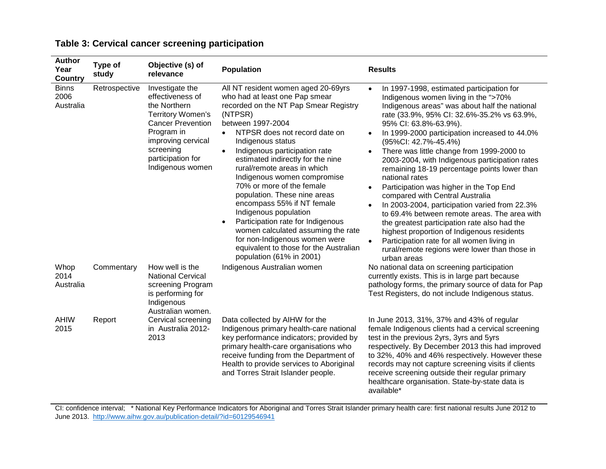| <b>Author</b><br>Year<br><b>Country</b> | Type of<br>study | Objective (s) of<br>relevance                                                                                                                                                                         | <b>Population</b>                                                                                                                                                                                                                                                                                                                                                                                                                                                                                                                                                                                                                                                                     | <b>Results</b>                                                                                                                                                                                                                                                                                                                                                                                                                                                                                                                                                                                                                                                                                                                                                                                                                                                                                                  |
|-----------------------------------------|------------------|-------------------------------------------------------------------------------------------------------------------------------------------------------------------------------------------------------|---------------------------------------------------------------------------------------------------------------------------------------------------------------------------------------------------------------------------------------------------------------------------------------------------------------------------------------------------------------------------------------------------------------------------------------------------------------------------------------------------------------------------------------------------------------------------------------------------------------------------------------------------------------------------------------|-----------------------------------------------------------------------------------------------------------------------------------------------------------------------------------------------------------------------------------------------------------------------------------------------------------------------------------------------------------------------------------------------------------------------------------------------------------------------------------------------------------------------------------------------------------------------------------------------------------------------------------------------------------------------------------------------------------------------------------------------------------------------------------------------------------------------------------------------------------------------------------------------------------------|
| <b>Binns</b><br>2006<br>Australia       | Retrospective    | Investigate the<br>effectiveness of<br>the Northern<br><b>Territory Women's</b><br><b>Cancer Prevention</b><br>Program in<br>improving cervical<br>screening<br>participation for<br>Indigenous women | All NT resident women aged 20-69yrs<br>who had at least one Pap smear<br>recorded on the NT Pap Smear Registry<br>(NTPSR)<br>between 1997-2004<br>NTPSR does not record date on<br>$\bullet$<br>Indigenous status<br>Indigenous participation rate<br>$\bullet$<br>estimated indirectly for the nine<br>rural/remote areas in which<br>Indigenous women compromise<br>70% or more of the female<br>population. These nine areas<br>encompass 55% if NT female<br>Indigenous population<br>Participation rate for Indigenous<br>$\bullet$<br>women calculated assuming the rate<br>for non-Indigenous women were<br>equivalent to those for the Australian<br>population (61% in 2001) | In 1997-1998, estimated participation for<br>$\bullet$<br>Indigenous women living in the ">70%<br>Indigenous areas" was about half the national<br>rate (33.9%, 95% CI: 32.6%-35.2% vs 63.9%,<br>95% CI: 63.8%-63.9%).<br>In 1999-2000 participation increased to 44.0%<br>$\bullet$<br>(95%Cl: 42.7%-45.4%)<br>There was little change from 1999-2000 to<br>2003-2004, with Indigenous participation rates<br>remaining 18-19 percentage points lower than<br>national rates<br>Participation was higher in the Top End<br>$\bullet$<br>compared with Central Australia<br>In 2003-2004, participation varied from 22.3%<br>$\bullet$<br>to 69.4% between remote areas. The area with<br>the greatest participation rate also had the<br>highest proportion of Indigenous residents<br>Participation rate for all women living in<br>$\bullet$<br>rural/remote regions were lower than those in<br>urban areas |
| Whop<br>2014<br>Australia               | Commentary       | How well is the<br><b>National Cervical</b><br>screening Program<br>is performing for<br>Indigenous<br>Australian women.                                                                              | Indigenous Australian women                                                                                                                                                                                                                                                                                                                                                                                                                                                                                                                                                                                                                                                           | No national data on screening participation<br>currently exists. This is in large part because<br>pathology forms, the primary source of data for Pap<br>Test Registers, do not include Indigenous status.                                                                                                                                                                                                                                                                                                                                                                                                                                                                                                                                                                                                                                                                                                      |
| <b>AHIW</b><br>2015                     | Report           | Cervical screening<br>in Australia 2012-<br>2013                                                                                                                                                      | Data collected by AIHW for the<br>Indigenous primary health-care national<br>key performance indicators; provided by<br>primary health-care organisations who<br>receive funding from the Department of<br>Health to provide services to Aboriginal<br>and Torres Strait Islander people.                                                                                                                                                                                                                                                                                                                                                                                             | In June 2013, 31%, 37% and 43% of regular<br>female Indigenous clients had a cervical screening<br>test in the previous 2yrs, 3yrs and 5yrs<br>respectively. By December 2013 this had improved<br>to 32%, 40% and 46% respectively. However these<br>records may not capture screening visits if clients<br>receive screening outside their regular primary<br>healthcare organisation. State-by-state data is<br>available*                                                                                                                                                                                                                                                                                                                                                                                                                                                                                   |

## **Table 3: Cervical cancer screening participation**

CI: confidence interval; \* National Key Performance Indicators for Aboriginal and Torres Strait Islander primary health care: first national results June 2012 to June 2013.<http://www.aihw.gov.au/publication-detail/?id=60129546941>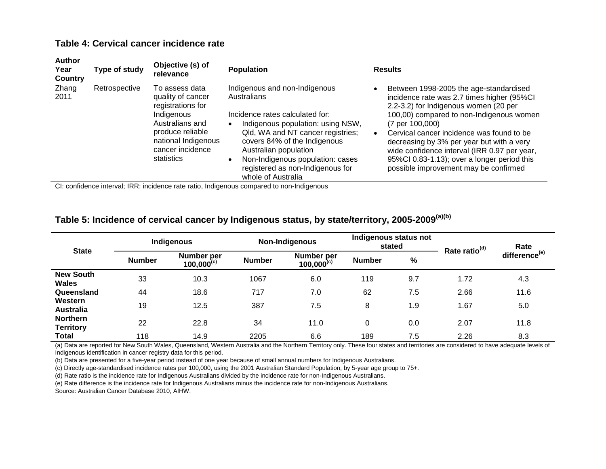#### **Table 4: Cervical cancer incidence rate**

| <b>Author</b><br>Year<br>Country | Type of study | Objective (s) of<br>relevance                                                                                                                                          | <b>Population</b>                                                                                                                                                                                                                                                                                                                                                                                                                                                                                                                                             | <b>Results</b>                                                                                                                                                                                                                                                                                                                                                                                                                            |
|----------------------------------|---------------|------------------------------------------------------------------------------------------------------------------------------------------------------------------------|---------------------------------------------------------------------------------------------------------------------------------------------------------------------------------------------------------------------------------------------------------------------------------------------------------------------------------------------------------------------------------------------------------------------------------------------------------------------------------------------------------------------------------------------------------------|-------------------------------------------------------------------------------------------------------------------------------------------------------------------------------------------------------------------------------------------------------------------------------------------------------------------------------------------------------------------------------------------------------------------------------------------|
| Zhang<br>2011                    | Retrospective | To assess data<br>quality of cancer<br>registrations for<br>Indigenous<br>Australians and<br>produce reliable<br>national Indigenous<br>cancer incidence<br>statistics | Indigenous and non-Indigenous<br><b>Australians</b><br>Incidence rates calculated for:<br>Indigenous population: using NSW,<br>Qld, WA and NT cancer registries;<br>covers 84% of the Indigenous<br>Australian population<br>Non-Indigenous population: cases<br>registered as non-Indigenous for<br>whole of Australia<br>$\bullet$ . The contract of the contract of the contract of the contract of the contract of the contract of the contract of the contract of the contract of the contract of the contract of the contract of the contract of the co | Between 1998-2005 the age-standardised<br>incidence rate was 2.7 times higher (95%CI<br>2.2-3.2) for Indigenous women (20 per<br>100,00) compared to non-Indigenous women<br>$(7 \text{ per } 100,000)$<br>Cervical cancer incidence was found to be<br>decreasing by 3% per year but with a very<br>wide confidence interval (IRR 0.97 per year,<br>95%CI 0.83-1.13); over a longer period this<br>possible improvement may be confirmed |
|                                  |               |                                                                                                                                                                        |                                                                                                                                                                                                                                                                                                                                                                                                                                                                                                                                                               |                                                                                                                                                                                                                                                                                                                                                                                                                                           |

CI: confidence interval; IRR: incidence rate ratio, Indigenous compared to non-Indigenous

## **Table 5: Incidence of cervical cancer by Indigenous status, by state/territory, 2005-2009(a)(b)**

| <b>State</b>                        | Indigenous    |                               | Non-Indigenous |                               | Indigenous status not<br>stated |     | Rate ratio <sup>(d)</sup> | Rate                      |
|-------------------------------------|---------------|-------------------------------|----------------|-------------------------------|---------------------------------|-----|---------------------------|---------------------------|
|                                     | <b>Number</b> | Number per<br>$100,000^{(c)}$ | <b>Number</b>  | Number per<br>$100,000^{(c)}$ | <b>Number</b>                   | %   |                           | difference <sup>(e)</sup> |
| <b>New South</b><br><b>Wales</b>    | 33            | 10.3                          | 1067           | 6.0                           | 119                             | 9.7 | 1.72                      | 4.3                       |
| Queensland                          | 44            | 18.6                          | 717            | 7.0                           | 62                              | 7.5 | 2.66                      | 11.6                      |
| Western<br><b>Australia</b>         | 19            | 12.5                          | 387            | 7.5                           | 8                               | 1.9 | 1.67                      | 5.0                       |
| <b>Northern</b><br><b>Territory</b> | 22            | 22.8                          | 34             | 11.0                          | 0                               | 0.0 | 2.07                      | 11.8                      |
| <b>Total</b>                        | 118           | 14.9                          | 2205           | 6.6                           | 189                             | 7.5 | 2.26                      | 8.3                       |

(a) Data are reported for New South Wales, Queensland, Western Australia and the Northern Territory only. These four states and territories are considered to have adequate levels of Indigenous identification in cancer registry data for this period.

(b) Data are presented for a five-year period instead of one year because of small annual numbers for Indigenous Australians.

(c) Directly age-standardised incidence rates per 100,000, using the 2001 Australian Standard Population, by 5-year age group to 75+.

(d) Rate ratio is the incidence rate for Indigenous Australians divided by the incidence rate for non-Indigenous Australians.

(e) Rate difference is the incidence rate for Indigenous Australians minus the incidence rate for non-Indigenous Australians.

Source: Australian Cancer Database 2010, AIHW.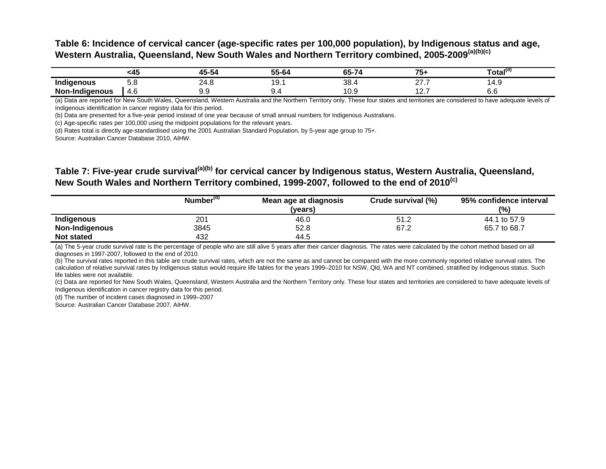### **Table 6: Incidence of cervical cancer (age-specific rates per 100,000 population), by Indigenous status and age, Western Australia, Queensland, New South Wales and Northern Territory combined, 2005-2009(a)(b)(c)**

|                             | י רי<br>$\sim$ | . . | .<br>55-64 | - -<br>-- | --                 | , otal'               |
|-----------------------------|----------------|-----|------------|-----------|--------------------|-----------------------|
| .<br>Indige<br>nous:<br>ت.  | v.v            | —יי | ັ          | 38.       | $\sim$ $\sim$<br>. | $\mathbf{\mu}$<br>יד. |
| Non-l<br>ıaenous<br>undide. | 4.b            | ◡.◡ | ັ.         | ັ∨.⊽      | .                  | v.v                   |

(a) Data are reported for New South Wales, Queensland, Western Australia and the Northern Territory only. These four states and territories are considered to have adequate levels of Indigenous identification in cancer registry data for this period.

(b) Data are presented for a five-year period instead of one year because of small annual numbers for Indigenous Australians.

(c) Age-specific rates per 100,000 using the midpoint populations for the relevant years.

(d) Rates total is directly age-standardised using the 2001 Australian Standard Population, by 5-year age group to 75+.

Source: Australian Cancer Database 2010, AIHW.

### **Table 7: Five-year crude survival(a)(b) for cervical cancer by Indigenous status, Western Australia, Queensland, New South Wales and Northern Territory combined, 1999-2007, followed to the end of 2010(c)**

|                   | Number <sup>(d)</sup> | Mean age at diagnosis<br>(vears) | Crude survival (%) | 95% confidence interval<br>(%) |
|-------------------|-----------------------|----------------------------------|--------------------|--------------------------------|
| Indigenous        | 201                   | 46.0                             | 51.2               | 44.1 to 57.9                   |
| Non-Indigenous    | 3845                  | 52.8                             | 67.2               | 65.7 to 68.7                   |
| <b>Not stated</b> | 432                   | 44.5                             |                    |                                |

(a) The 5-year crude survival rate is the percentage of people who are still alive 5 years after their cancer diagnosis. The rates were calculated by the cohort method based on all diagnoses in 1997-2007, followed to the end of 2010.

(b) The survival rates reported in this table are crude survival rates, which are not the same as and cannot be compared with the more commonly reported relative survival rates. The calculation of relative survival rates by Indigenous status would require life tables for the years 1999–2010 for NSW, Qld, WA and NT combined, stratified by Indigenous status. Such life tables were not available.

(c) Data are reported for New South Wales, Queensland, Western Australia and the Northern Territory only. These four states and territories are considered to have adequate levels of Indigenous identification in cancer registry data for this period.

(d) The number of incident cases diagnosed in 1999–2007

Source: Australian Cancer Database 2007, AIHW.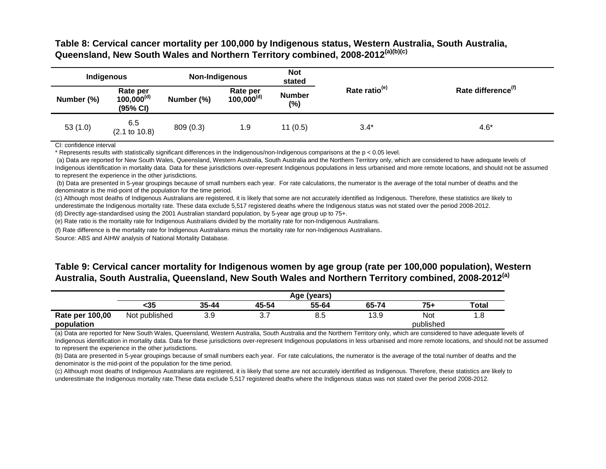### **Table 8: Cervical cancer mortality per 100,000 by Indigenous status, Western Australia, South Australia, Queensland, New South Wales and Northern Territory combined, 2008-2012(a)(b)(c)**

| Indigenous |                                         | Non-Indigenous |                             | <b>Not</b><br>stated |                           |                                |
|------------|-----------------------------------------|----------------|-----------------------------|----------------------|---------------------------|--------------------------------|
| Number (%) | Rate per<br>$100,000^{(d)}$<br>(95% CI) | Number (%)     | Rate per<br>$100,000^{(d)}$ | <b>Number</b><br>(%) | Rate ratio <sup>(e)</sup> | Rate difference <sup>(f)</sup> |
| 53(1.0)    | 6.5<br>$(2.1 \text{ to } 10.8)$         | 809(0.3)       | 1.9                         | 11(0.5)              | $3.4*$                    | $4.6*$                         |

CI: confidence interval

\* Represents results with statistically significant differences in the Indigenous/non-Indigenous comparisons at the p < 0.05 level.

(a) Data are reported for New South Wales, Queensland, Western Australia, South Australia and the Northern Territory only, which are considered to have adequate levels of Indigenous identification in mortality data. Data for these jurisdictions over-represent Indigenous populations in less urbanised and more remote locations, and should not be assumed to represent the experience in the other jurisdictions.

(b) Data are presented in 5-year groupings because of small numbers each year. For rate calculations, the numerator is the average of the total number of deaths and the denominator is the mid-point of the population for the time period.

(c) Although most deaths of Indigenous Australians are registered, it is likely that some are not accurately identified as Indigenous. Therefore, these statistics are likely to underestimate the Indigenous mortality rate. These data exclude 5,517 registered deaths where the Indigenous status was not stated over the period 2008-2012.

(d) Directly age-standardised using the 2001 Australian standard population, by 5-year age group up to 75+.

(e) Rate ratio is the mortality rate for Indigenous Australians divided by the mortality rate for non-Indigenous Australians.

(f) Rate difference is the mortality rate for Indigenous Australians minus the mortality rate for non-Indigenous Australians.

Source: ABS and AIHW analysis of National Mortality Database.

### **Table 9: Cervical cancer mortality for Indigenous women by age group (rate per 100,000 population), Western Australia, South Australia, Queensland, New South Wales and Northern Territory combined, 2008-2012(a)**

|                 | Age (years)   |            |       |          |       |           |              |
|-----------------|---------------|------------|-------|----------|-------|-----------|--------------|
|                 | <35           | $35 - 44$  | 45-54 | 55-64    | 65-74 | $75+$     | <b>Total</b> |
| Rate per 100,00 | Not published | ם P<br>ບ.ວ | ູ     | ດ<br>ၓ.៦ | 13.9  | Not       | ı.c          |
| population      |               |            |       |          |       | published |              |

(a) Data are reported for New South Wales, Queensland, Western Australia, South Australia and the Northern Territory only, which are considered to have adequate levels of Indigenous identification in mortality data. Data for these jurisdictions over-represent Indigenous populations in less urbanised and more remote locations, and should not be assumed to represent the experience in the other jurisdictions.

(b) Data are presented in 5-year groupings because of small numbers each year. For rate calculations, the numerator is the average of the total number of deaths and the denominator is the mid-point of the population for the time period.

(c) Although most deaths of Indigenous Australians are registered, it is likely that some are not accurately identified as Indigenous. Therefore, these statistics are likely to underestimate the Indigenous mortality rate.These data exclude 5,517 registered deaths where the Indigenous status was not stated over the period 2008-2012.